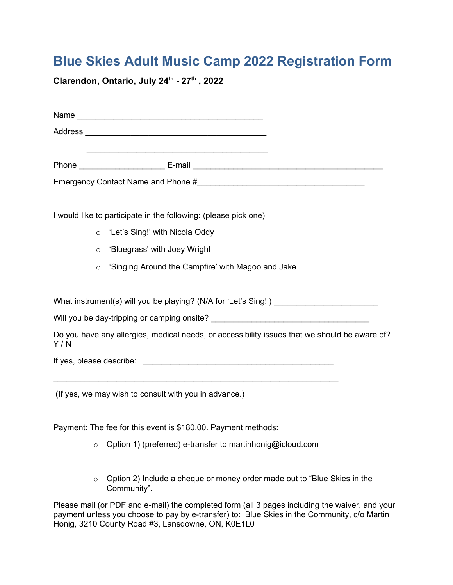# **Blue Skies Adult Music Camp 2022 Registration Form**

**Clarendon, Ontario, July 24th - 27th , 2022**

|     | I would like to participate in the following: (please pick one)                               |
|-----|-----------------------------------------------------------------------------------------------|
|     | 'Let's Sing!' with Nicola Oddy<br>$\circ$                                                     |
|     | 'Bluegrass' with Joey Wright<br>$\circ$                                                       |
|     | 'Singing Around the Campfire' with Magoo and Jake<br>$\circ$                                  |
|     |                                                                                               |
|     | What instrument(s) will you be playing? (N/A for 'Let's Sing!') _________________             |
|     |                                                                                               |
| Y/N | Do you have any allergies, medical needs, or accessibility issues that we should be aware of? |
|     |                                                                                               |
|     |                                                                                               |
|     | (If yes, we may wish to consult with you in advance.)                                         |

Payment: The fee for this event is \$180.00. Payment methods:

- o Option 1) (preferred) e-transfer to [martinhonig@icloud.com](mailto:martinhonig@icloud.com)
- o Option 2) Include a cheque or money order made out to "Blue Skies in the Community".

Please mail (or PDF and e-mail) the completed form (all 3 pages including the waiver, and your payment unless you choose to pay by e-transfer) to: Blue Skies in the Community, c/o Martin Honig, 3210 County Road #3, Lansdowne, ON, K0E1L0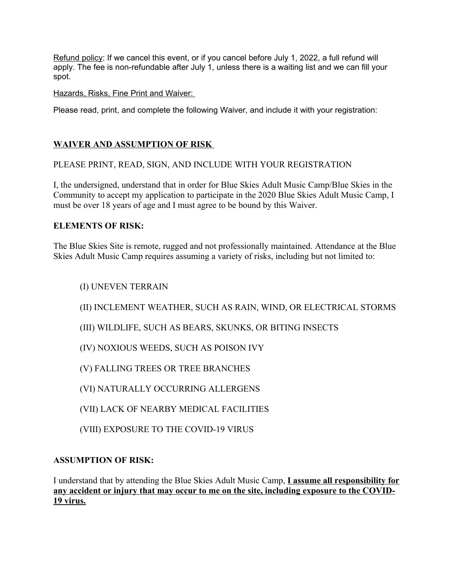Refund policy: If we cancel this event, or if you cancel before July 1, 2022, a full refund will apply. The fee is non-refundable after July 1, unless there is a waiting list and we can fill your spot.

Hazards, Risks, Fine Print and Waiver:

Please read, print, and complete the following Waiver, and include it with your registration:

## **WAIVER AND ASSUMPTION OF RISK**

PLEASE PRINT, READ, SIGN, AND INCLUDE WITH YOUR REGISTRATION

I, the undersigned, understand that in order for Blue Skies Adult Music Camp/Blue Skies in the Community to accept my application to participate in the 2020 Blue Skies Adult Music Camp, I must be over 18 years of age and I must agree to be bound by this Waiver.

## **ELEMENTS OF RISK:**

The Blue Skies Site is remote, rugged and not professionally maintained. Attendance at the Blue Skies Adult Music Camp requires assuming a variety of risks, including but not limited to:

(I) UNEVEN TERRAIN

(II) INCLEMENT WEATHER, SUCH AS RAIN, WIND, OR ELECTRICAL STORMS

(III) WILDLIFE, SUCH AS BEARS, SKUNKS, OR BITING INSECTS

(IV) NOXIOUS WEEDS, SUCH AS POISON IVY

(V) FALLING TREES OR TREE BRANCHES

(VI) NATURALLY OCCURRING ALLERGENS

(VII) LACK OF NEARBY MEDICAL FACILITIES

(VIII) EXPOSURE TO THE COVID-19 VIRUS

## **ASSUMPTION OF RISK:**

I understand that by attending the Blue Skies Adult Music Camp, **I assume all responsibility for any accident or injury that may occur to me on the site, including exposure to the COVID-19 virus.**